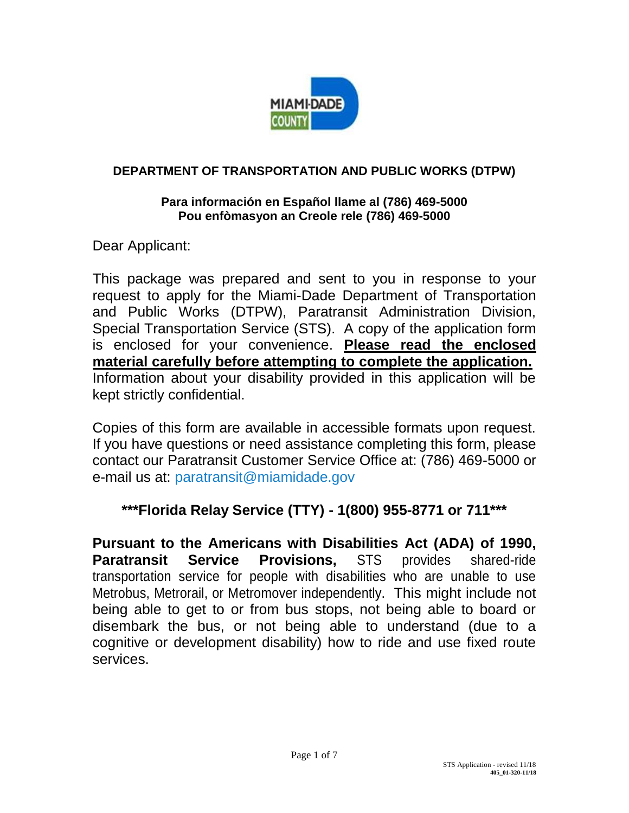

## **DEPARTMENT OF TRANSPORTATION AND PUBLIC WORKS (DTPW)**

#### **Para información en Español llame al (786) 469-5000 Pou enfòmasyon an Creole rele (786) 469-5000**

Dear Applicant:

This package was prepared and sent to you in response to your request to apply for the Miami-Dade Department of Transportation and Public Works (DTPW), Paratransit Administration Division, Special Transportation Service (STS). A copy of the application form is enclosed for your convenience. **Please read the enclosed material carefully before attempting to complete the application.** Information about your disability provided in this application will be kept strictly confidential.

Copies of this form are available in accessible formats upon request. If you have questions or need assistance completing this form, please contact our Paratransit Customer Service Office at: (786) 469-5000 or e-mail us at: [paratransit@miamidade.gov](mailto:paratransit@miamidade.gov)

# **\*\*\*Florida Relay Service (TTY) - 1(800) 955-8771 or 711\*\*\***

**Pursuant to the Americans with Disabilities Act (ADA) of 1990, Paratransit Service Provisions,** STS provides shared-ride transportation service for people with disabilities who are unable to use Metrobus, Metrorail, or Metromover independently. This might include not being able to get to or from bus stops, not being able to board or disembark the bus, or not being able to understand (due to a cognitive or development disability) how to ride and use fixed route services.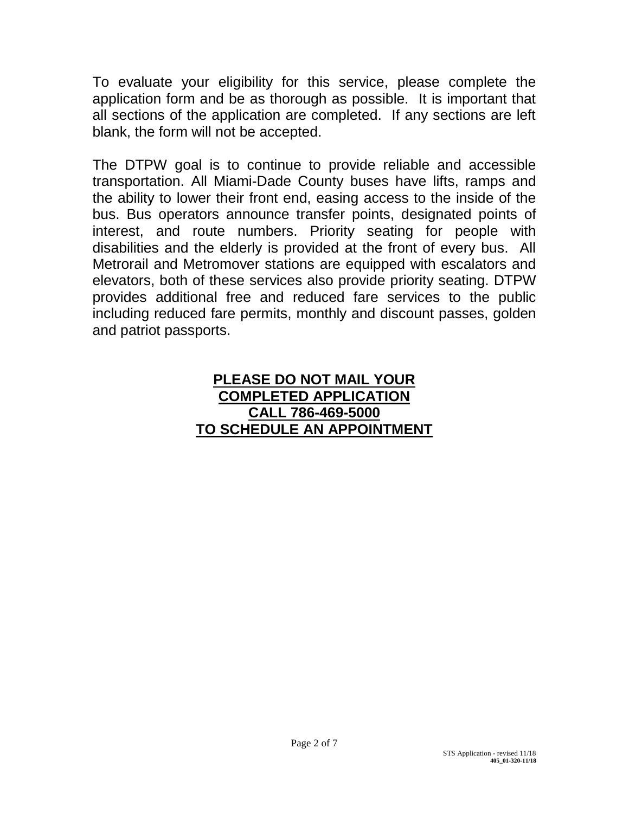To evaluate your eligibility for this service, please complete the application form and be as thorough as possible. It is important that all sections of the application are completed. If any sections are left blank, the form will not be accepted.

The DTPW goal is to continue to provide reliable and accessible transportation. All Miami-Dade County buses have lifts, ramps and the ability to lower their front end, easing access to the inside of the bus. Bus operators announce transfer points, designated points of interest, and route numbers. Priority seating for people with disabilities and the elderly is provided at the front of every bus. All Metrorail and Metromover stations are equipped with escalators and elevators, both of these services also provide priority seating. DTPW provides additional free and reduced fare services to the public including reduced fare permits, monthly and discount passes, golden and patriot passports.

# **PLEASE DO NOT MAIL YOUR COMPLETED APPLICATION CALL 786-469-5000 TO SCHEDULE AN APPOINTMENT**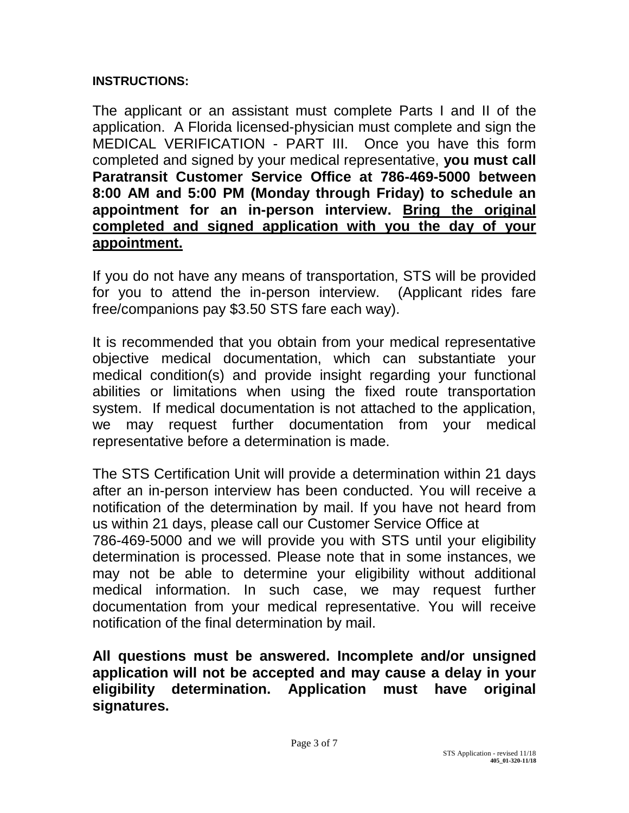# **INSTRUCTIONS:**

The applicant or an assistant must complete Parts I and II of the application. A Florida licensed-physician must complete and sign the MEDICAL VERIFICATION - PART III. Once you have this form completed and signed by your medical representative, **you must call Paratransit Customer Service Office at 786-469-5000 between 8:00 AM and 5:00 PM (Monday through Friday) to schedule an appointment for an in-person interview. Bring the original completed and signed application with you the day of your appointment.**

If you do not have any means of transportation, STS will be provided for you to attend the in-person interview. (Applicant rides fare free/companions pay \$3.50 STS fare each way).

It is recommended that you obtain from your medical representative objective medical documentation, which can substantiate your medical condition(s) and provide insight regarding your functional abilities or limitations when using the fixed route transportation system. If medical documentation is not attached to the application, we may request further documentation from your medical representative before a determination is made.

The STS Certification Unit will provide a determination within 21 days after an in-person interview has been conducted. You will receive a notification of the determination by mail. If you have not heard from us within 21 days, please call our Customer Service Office at 786-469-5000 and we will provide you with STS until your eligibility

determination is processed. Please note that in some instances, we may not be able to determine your eligibility without additional medical information. In such case, we may request further documentation from your medical representative. You will receive notification of the final determination by mail.

**All questions must be answered. Incomplete and/or unsigned application will not be accepted and may cause a delay in your eligibility determination. Application must have original signatures.**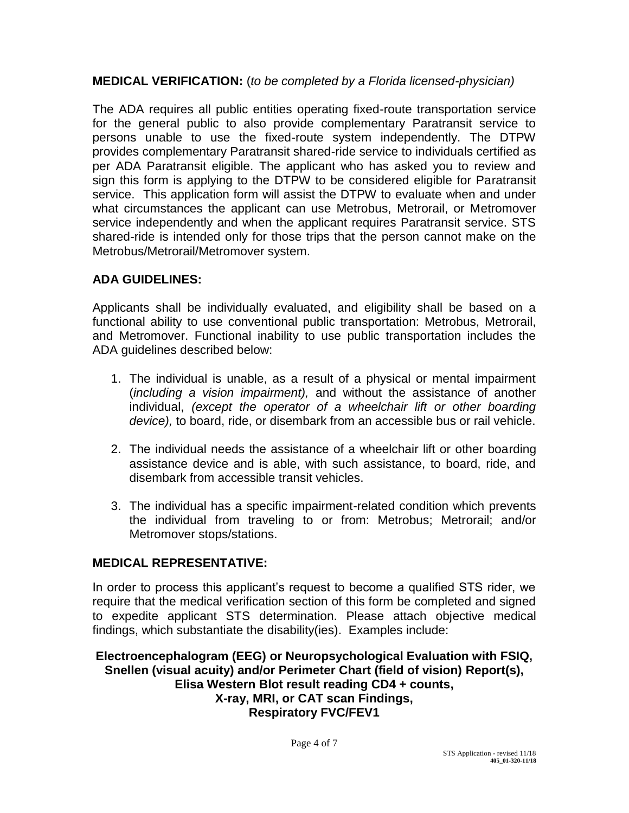### **MEDICAL VERIFICATION:** (*to be completed by a Florida licensed-physician)*

The ADA requires all public entities operating fixed-route transportation service for the general public to also provide complementary Paratransit service to persons unable to use the fixed-route system independently. The DTPW provides complementary Paratransit shared-ride service to individuals certified as per ADA Paratransit eligible. The applicant who has asked you to review and sign this form is applying to the DTPW to be considered eligible for Paratransit service. This application form will assist the DTPW to evaluate when and under what circumstances the applicant can use Metrobus, Metrorail, or Metromover service independently and when the applicant requires Paratransit service. STS shared-ride is intended only for those trips that the person cannot make on the Metrobus/Metrorail/Metromover system.

### **ADA GUIDELINES:**

Applicants shall be individually evaluated, and eligibility shall be based on a functional ability to use conventional public transportation: Metrobus, Metrorail, and Metromover. Functional inability to use public transportation includes the ADA guidelines described below:

- 1. The individual is unable, as a result of a physical or mental impairment (*including a vision impairment),* and without the assistance of another individual, *(except the operator of a wheelchair lift or other boarding device),* to board, ride, or disembark from an accessible bus or rail vehicle.
- 2. The individual needs the assistance of a wheelchair lift or other boarding assistance device and is able, with such assistance, to board, ride, and disembark from accessible transit vehicles.
- 3. The individual has a specific impairment-related condition which prevents the individual from traveling to or from: Metrobus; Metrorail; and/or Metromover stops/stations.

### **MEDICAL REPRESENTATIVE:**

In order to process this applicant's request to become a qualified STS rider, we require that the medical verification section of this form be completed and signed to expedite applicant STS determination. Please attach objective medical findings, which substantiate the disability(ies). Examples include:

**Electroencephalogram (EEG) or Neuropsychological Evaluation with FSIQ, Snellen (visual acuity) and/or Perimeter Chart (field of vision) Report(s), Elisa Western Blot result reading CD4 + counts, X-ray, MRI, or CAT scan Findings, Respiratory FVC/FEV1**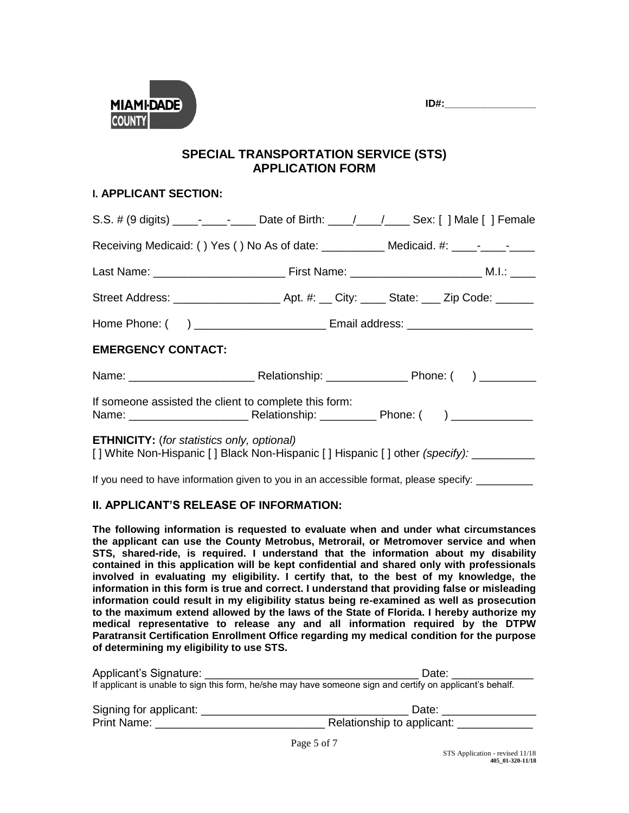**ID#:\_\_\_\_\_\_\_\_\_\_\_\_\_\_\_\_** 



#### **SPECIAL TRANSPORTATION SERVICE (STS) APPLICATION FORM**

#### **l. APPLICANT SECTION:**

| Receiving Medicaid: () Yes () No As of date: ___________ Medicaid. #: ____-____-_____                                                      |  |  |  |  |
|--------------------------------------------------------------------------------------------------------------------------------------------|--|--|--|--|
|                                                                                                                                            |  |  |  |  |
|                                                                                                                                            |  |  |  |  |
|                                                                                                                                            |  |  |  |  |
| <b>EMERGENCY CONTACT:</b>                                                                                                                  |  |  |  |  |
|                                                                                                                                            |  |  |  |  |
| If someone assisted the client to complete this form:                                                                                      |  |  |  |  |
| <b>ETHNICITY:</b> (for statistics only, optional)<br>[] White Non-Hispanic [] Black Non-Hispanic [] Hispanic [] other (specify): _________ |  |  |  |  |
| If you need to have information given to you in an accessible format, please specify:                                                      |  |  |  |  |

#### **II. APPLICANT'S RELEASE OF INFORMATION:**

**The following information is requested to evaluate when and under what circumstances the applicant can use the County Metrobus, Metrorail, or Metromover service and when STS, shared-ride, is required. I understand that the information about my disability contained in this application will be kept confidential and shared only with professionals involved in evaluating my eligibility. I certify that, to the best of my knowledge, the information in this form is true and correct. I understand that providing false or misleading information could result in my eligibility status being re-examined as well as prosecution to the maximum extend allowed by the laws of the State of Florida. I hereby authorize my medical representative to release any and all information required by the DTPW Paratransit Certification Enrollment Office regarding my medical condition for the purpose of determining my eligibility to use STS.**

| Applicant's Signature:                                                                                    | Date:                      |  |  |  |
|-----------------------------------------------------------------------------------------------------------|----------------------------|--|--|--|
| If applicant is unable to sign this form, he/she may have someone sign and certify on applicant's behalf. |                            |  |  |  |
|                                                                                                           |                            |  |  |  |
| Signing for applicant:                                                                                    | Date:                      |  |  |  |
| Print Name:                                                                                               | Relationship to applicant: |  |  |  |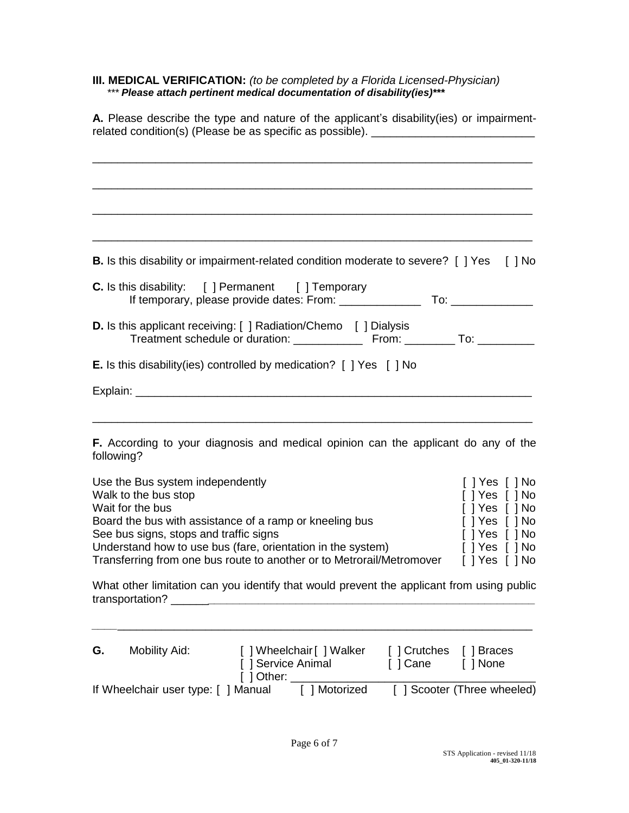#### **III. MEDICAL VERIFICATION:** *(to be completed by a Florida Licensed-Physician) \*\*\* Please attach pertinent medical documentation of disability(ies)\*\*\**

| A. Please describe the type and nature of the applicant's disability(ies) or impairment-<br>related condition(s) (Please be as specific as possible). _______________________ |                                                                                                                        |          |                                                                                                                                                                                                                                     |  |  |
|-------------------------------------------------------------------------------------------------------------------------------------------------------------------------------|------------------------------------------------------------------------------------------------------------------------|----------|-------------------------------------------------------------------------------------------------------------------------------------------------------------------------------------------------------------------------------------|--|--|
|                                                                                                                                                                               |                                                                                                                        |          |                                                                                                                                                                                                                                     |  |  |
|                                                                                                                                                                               |                                                                                                                        |          |                                                                                                                                                                                                                                     |  |  |
|                                                                                                                                                                               |                                                                                                                        |          |                                                                                                                                                                                                                                     |  |  |
|                                                                                                                                                                               |                                                                                                                        |          |                                                                                                                                                                                                                                     |  |  |
|                                                                                                                                                                               | <b>B.</b> Is this disability or impairment-related condition moderate to severe? [ ] Yes [ ] No                        |          |                                                                                                                                                                                                                                     |  |  |
|                                                                                                                                                                               | <b>C.</b> Is this disability: [ ] Permanent [ ] Temporary<br>If temporary, please provide dates: From: _______________ |          | <b>To:</b> the contract of the contract of the contract of the contract of the contract of the contract of the contract of the contract of the contract of the contract of the contract of the contract of the contract of the cont |  |  |
|                                                                                                                                                                               | <b>D.</b> Is this applicant receiving: [ ] Radiation/Chemo [ ] Dialysis                                                |          |                                                                                                                                                                                                                                     |  |  |
|                                                                                                                                                                               | <b>E.</b> Is this disability(ies) controlled by medication? [ ] Yes [ ] No                                             |          |                                                                                                                                                                                                                                     |  |  |
|                                                                                                                                                                               |                                                                                                                        |          |                                                                                                                                                                                                                                     |  |  |
|                                                                                                                                                                               |                                                                                                                        |          |                                                                                                                                                                                                                                     |  |  |
| following?                                                                                                                                                                    | <b>F.</b> According to your diagnosis and medical opinion can the applicant do any of the                              |          |                                                                                                                                                                                                                                     |  |  |
| Use the Bus system independently                                                                                                                                              |                                                                                                                        |          | [ ] Yes [ ] No                                                                                                                                                                                                                      |  |  |
| Walk to the bus stop<br>Wait for the bus                                                                                                                                      |                                                                                                                        |          | [ ] Yes [ ] No<br>[ ] Yes [ ] No                                                                                                                                                                                                    |  |  |
| See bus signs, stops and traffic signs                                                                                                                                        | Board the bus with assistance of a ramp or kneeling bus                                                                |          | $[$ $]$ Yes $[$ $]$ No<br>$[$ ] Yes $[$ ] No                                                                                                                                                                                        |  |  |
|                                                                                                                                                                               | Understand how to use bus (fare, orientation in the system)                                                            |          | [ ] Yes [ ] No                                                                                                                                                                                                                      |  |  |
|                                                                                                                                                                               | Transferring from one bus route to another or to Metrorail/Metromover [] Yes [] No                                     |          |                                                                                                                                                                                                                                     |  |  |
|                                                                                                                                                                               | What other limitation can you identify that would prevent the applicant from using public                              |          |                                                                                                                                                                                                                                     |  |  |
|                                                                                                                                                                               |                                                                                                                        |          |                                                                                                                                                                                                                                     |  |  |
| <b>Mobility Aid:</b><br>G.                                                                                                                                                    | [ ] Service Animal<br>[ ] Other: ____________                                                                          | [ ] Cane | [ ] None                                                                                                                                                                                                                            |  |  |
| If Wheelchair user type: [ ] Manual                                                                                                                                           | [ ] Motorized [ ] Scooter (Three wheeled)                                                                              |          |                                                                                                                                                                                                                                     |  |  |